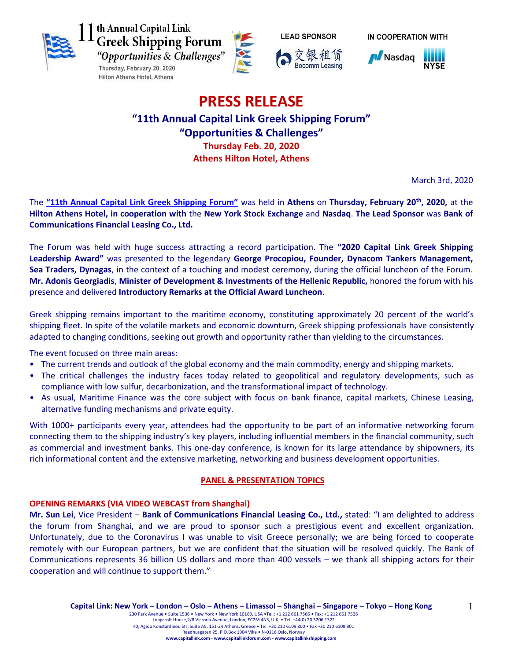







IN COOPERATION WITH



# **PRESS RELEASE**

# **"11th Annual Capital Link Greek Shipping Forum" "Opportunities & Challenges" Thursday Feb. 20, 2020 Athens Hilton Hotel, Athens**

March 3rd, 2020

The **["11th Annual Capital Link Greek Shipping Forum"](http://forums.capitallink.com/shipping/2020greece/)** was held in **Athens** on **Thursday, February 20th , 2020,** at the **Hilton Athens Hotel, in cooperation with** the **New York Stock Exchange** and **Nasdaq**. **The Lead Sponsor** was **Bank of Communications Financial Leasing Co., Ltd.**

The Forum was held with huge success attracting a record participation. The **"2020 Capital Link Greek Shipping Leadership Award"** was presented to the legendary **George Procopiou, Founder, Dynacom Tankers Management, Sea Traders, Dynagas**, in the context of a touching and modest ceremony, during the official luncheon of the Forum. **Mr. Adonis Georgiadis**, **Minister of Development & Investments of the Hellenic Republic,** honored the forum with his presence and delivered **Introductory Remarks at the Official Award Luncheon**.

Greek shipping remains important to the maritime economy, constituting approximately 20 percent of the world's shipping fleet. In spite of the volatile markets and economic downturn, Greek shipping professionals have consistently adapted to changing conditions, seeking out growth and opportunity rather than yielding to the circumstances.

The event focused on three main areas:

- The current trends and outlook of the global economy and the main commodity, energy and shipping markets.
- The critical challenges the industry faces today related to geopolitical and regulatory developments, such as compliance with low sulfur, decarbonization, and the transformational impact of technology.
- As usual, Maritime Finance was the core subject with focus on bank finance, capital markets, Chinese Leasing, alternative funding mechanisms and private equity.

With 1000+ participants every year, attendees had the opportunity to be part of an informative networking forum connecting them to the shipping industry's key players, including influential members in the financial community, such as commercial and investment banks. This one-day conference, is known for its large attendance by shipowners, its rich informational content and the extensive marketing, networking and business development opportunities.

# **PANEL & PRESENTATION TOPICS**

# **OPENING REMARKS (VIA VIDEO WEBCAST from Shanghai)**

**Mr. Sun Lei**, Vice President – **Bank of Communications Financial Leasing Co., Ltd.,** stated: "I am delighted to address the forum from Shanghai, and we are proud to sponsor such a prestigious event and excellent organization. Unfortunately, due to the Coronavirus I was unable to visit Greece personally; we are being forced to cooperate remotely with our European partners, but we are confident that the situation will be resolved quickly. The Bank of Communications represents 36 billion US dollars and more than 400 vessels – we thank all shipping actors for their cooperation and will continue to support them."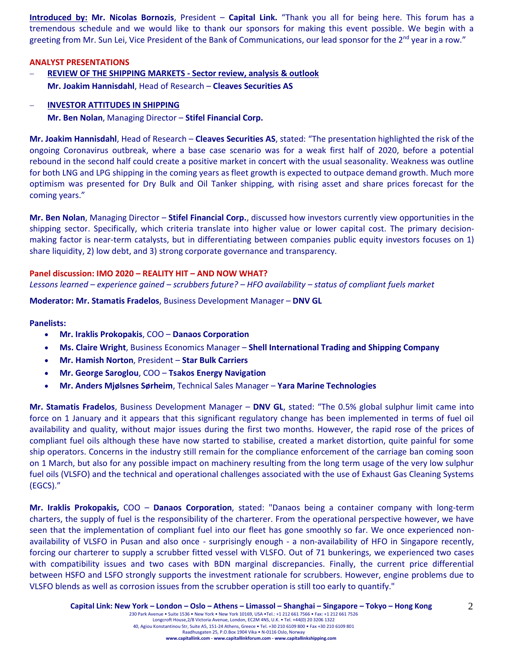**Introduced by: Mr. Nicolas Bornozis**, President – **Capital Link.** "Thank you all for being here. This forum has a tremendous schedule and we would like to thank our sponsors for making this event possible. We begin with a greeting from Mr. Sun Lei, Vice President of the Bank of Communications, our lead sponsor for the  $2^{nd}$  year in a row."

#### **ANALYST PRESENTATIONS**

 **REVIEW OF THE SHIPPING MARKETS - Sector review, analysis & outlook Mr. Joakim Hannisdahl**, Head of Research – **Cleaves Securities AS**

# **INVESTOR ATTITUDES IN SHIPPING**

**Mr. Ben Nolan**, Managing Director – **Stifel Financial Corp.**

**Mr. Joakim Hannisdahl**, Head of Research – **Cleaves Securities AS**, stated: "The presentation highlighted the risk of the ongoing Coronavirus outbreak, where a base case scenario was for a weak first half of 2020, before a potential rebound in the second half could create a positive market in concert with the usual seasonality. Weakness was outline for both LNG and LPG shipping in the coming years as fleet growth is expected to outpace demand growth. Much more optimism was presented for Dry Bulk and Oil Tanker shipping, with rising asset and share prices forecast for the coming years."

**Mr. Ben Nolan**, Managing Director – **Stifel Financial Corp.**, discussed how investors currently view opportunities in the shipping sector. Specifically, which criteria translate into higher value or lower capital cost. The primary decisionmaking factor is near-term catalysts, but in differentiating between companies public equity investors focuses on 1) share liquidity, 2) low debt, and 3) strong corporate governance and transparency.

#### **Panel discussion: IMO 2020 – REALITY HIT – AND NOW WHAT?**

*Lessons learned – experience gained – scrubbers future? – HFO availability – status of compliant fuels market*

**Moderator: Mr. Stamatis Fradelos**, Business Development Manager – **DNV GL**

#### **Panelists:**

- **Mr. Iraklis Prokopakis**, COO **Danaos Corporation**
- **Ms. Claire Wright**, Business Economics Manager **Shell International Trading and Shipping Company**
- **Mr. Hamish Norton**, President **Star Bulk Carriers**
- **Mr. George Saroglou**, COO **Tsakos Energy Navigation**
- **Mr. Anders Mjølsnes Sørheim**, Technical Sales Manager **Yara Marine Technologies**

**Mr. Stamatis Fradelos**, Business Development Manager – **DNV GL**, stated: "The 0.5% global sulphur limit came into force on 1 January and it appears that this significant regulatory change has been implemented in terms of fuel oil availability and quality, without major issues during the first two months. However, the rapid rose of the prices of compliant fuel oils although these have now started to stabilise, created a market distortion, quite painful for some ship operators. Concerns in the industry still remain for the compliance enforcement of the carriage ban coming soon on 1 March, but also for any possible impact on machinery resulting from the long term usage of the very low sulphur fuel oils (VLSFO) and the technical and operational challenges associated with the use of Exhaust Gas Cleaning Systems (EGCS)."

**Mr. Iraklis Prokopakis,** COO – **Danaos Corporation**, stated: "Danaos being a container company with long-term charters, the supply of fuel is the responsibility of the charterer. From the operational perspective however, we have seen that the implementation of compliant fuel into our fleet has gone smoothly so far. We once experienced nonavailability of VLSFO in Pusan and also once - surprisingly enough - a non-availability of HFO in Singapore recently, forcing our charterer to supply a scrubber fitted vessel with VLSFO. Out of 71 bunkerings, we experienced two cases with compatibility issues and two cases with BDN marginal discrepancies. Finally, the current price differential between HSFO and LSFO strongly supports the investment rationale for scrubbers. However, engine problems due to VLSFO blends as well as corrosion issues from the scrubber operation is still too early to quantify."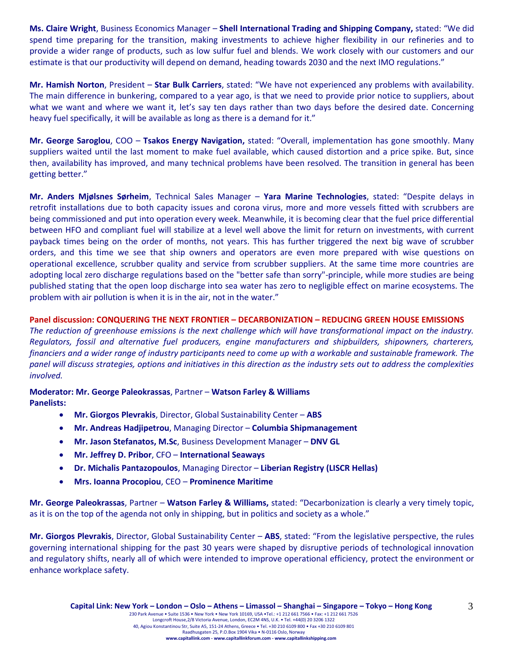**Ms. Claire Wright**, Business Economics Manager – **Shell International Trading and Shipping Company,** stated: "We did spend time preparing for the transition, making investments to achieve higher flexibility in our refineries and to provide a wider range of products, such as low sulfur fuel and blends. We work closely with our customers and our estimate is that our productivity will depend on demand, heading towards 2030 and the next IMO regulations."

**Mr. Hamish Norton**, President – **Star Bulk Carriers**, stated: "We have not experienced any problems with availability. The main difference in bunkering, compared to a year ago, is that we need to provide prior notice to suppliers, about what we want and where we want it, let's say ten days rather than two days before the desired date. Concerning heavy fuel specifically, it will be available as long as there is a demand for it."

**Mr. George Saroglou**, COO – **Tsakos Energy Navigation,** stated: "Overall, implementation has gone smoothly. Many suppliers waited until the last moment to make fuel available, which caused distortion and a price spike. But, since then, availability has improved, and many technical problems have been resolved. The transition in general has been getting better."

**Mr. Anders Mjølsnes Sørheim**, Technical Sales Manager – **Yara Marine Technologies**, stated: "Despite delays in retrofit installations due to both capacity issues and corona virus, more and more vessels fitted with scrubbers are being commissioned and put into operation every week. Meanwhile, it is becoming clear that the fuel price differential between HFO and compliant fuel will stabilize at a level well above the limit for return on investments, with current payback times being on the order of months, not years. This has further triggered the next big wave of scrubber orders, and this time we see that ship owners and operators are even more prepared with wise questions on operational excellence, scrubber quality and service from scrubber suppliers. At the same time more countries are adopting local zero discharge regulations based on the "better safe than sorry"-principle, while more studies are being published stating that the open loop discharge into sea water has zero to negligible effect on marine ecosystems. The problem with air pollution is when it is in the air, not in the water."

# **Panel discussion: CONQUERING THE NEXT FRONTIER – DECARBONIZATION – REDUCING GREEN HOUSE EMISSIONS**

*The reduction of greenhouse emissions is the next challenge which will have transformational impact on the industry. Regulators, fossil and alternative fuel producers, engine manufacturers and shipbuilders, shipowners, charterers, financiers and a wider range of industry participants need to come up with a workable and sustainable framework. The panel will discuss strategies, options and initiatives in this direction as the industry sets out to address the complexities involved.*

# **Moderator: Mr. George Paleokrassas**, Partner – **Watson Farley & Williams**

**Panelists:**

- **Mr. Giorgos Plevrakis**, Director, Global Sustainability Center **ABS**
- **Mr. Andreas Hadjipetrou**, Managing Director **Columbia Shipmanagement**
- **Mr. Jason Stefanatos, M.Sc**, Business Development Manager **DNV GL**
- **Mr. Jeffrey D. Pribor**, CFO **International Seaways**
- **Dr. Michalis Pantazopoulos**, Managing Director **Liberian Registry (LISCR Hellas)**
- **Mrs. Ioanna Procopiou**, CEO **Prominence Maritime**

**Mr. George Paleokrassas**, Partner – **Watson Farley & Williams,** stated: "Decarbonization is clearly a very timely topic, as it is on the top of the agenda not only in shipping, but in politics and society as a whole."

**Mr. Giorgos Plevrakis**, Director, Global Sustainability Center – **ABS**, stated: "From the legislative perspective, the rules governing international shipping for the past 30 years were shaped by disruptive periods of technological innovation and regulatory shifts, nearly all of which were intended to improve operational efficiency, protect the environment or enhance workplace safety.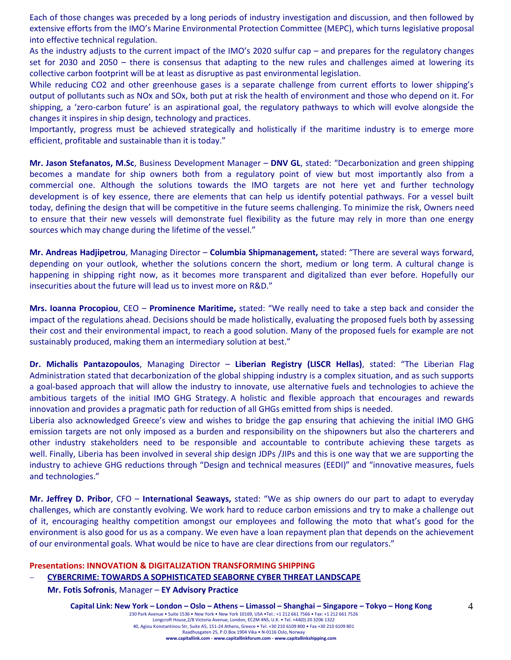Each of those changes was preceded by a long periods of industry investigation and discussion, and then followed by extensive efforts from the IMO's Marine Environmental Protection Committee (MEPC), which turns legislative proposal into effective technical regulation.

As the industry adjusts to the current impact of the IMO's 2020 sulfur cap – and prepares for the regulatory changes set for 2030 and 2050 – there is consensus that adapting to the new rules and challenges aimed at lowering its collective carbon footprint will be at least as disruptive as past environmental legislation.

While reducing CO2 and other greenhouse gases is a separate challenge from current efforts to lower shipping's output of pollutants such as NOx and SOx, both put at risk the health of environment and those who depend on it. For shipping, a 'zero-carbon future' is an aspirational goal, the regulatory pathways to which will evolve alongside the changes it inspires in ship design, technology and practices.

Importantly, progress must be achieved strategically and holistically if the maritime industry is to emerge more efficient, profitable and sustainable than it is today."

**Mr. Jason Stefanatos, M.Sc**, Business Development Manager – **DNV GL**, stated: "Decarbonization and green shipping becomes a mandate for ship owners both from a regulatory point of view but most importantly also from a commercial one. Although the solutions towards the IMO targets are not here yet and further technology development is of key essence, there are elements that can help us identify potential pathways. For a vessel built today, defining the design that will be competitive in the future seems challenging. To minimize the risk, Owners need to ensure that their new vessels will demonstrate fuel flexibility as the future may rely in more than one energy sources which may change during the lifetime of the vessel."

**Mr. Andreas Hadjipetrou**, Managing Director – **Columbia Shipmanagement,** stated: "There are several ways forward, depending on your outlook, whether the solutions concern the short, medium or long term. A cultural change is happening in shipping right now, as it becomes more transparent and digitalized than ever before. Hopefully our insecurities about the future will lead us to invest more on R&D."

**Mrs. Ioanna Procopiou**, CEO – **Prominence Maritime,** stated: "We really need to take a step back and consider the impact of the regulations ahead. Decisions should be made holistically, evaluating the proposed fuels both by assessing their cost and their environmental impact, to reach a good solution. Many of the proposed fuels for example are not sustainably produced, making them an intermediary solution at best."

**Dr. Michalis Pantazopoulos**, Managing Director – **Liberian Registry (LISCR Hellas)**, stated: "The Liberian Flag Administration stated that decarbonization of the global shipping industry is a complex situation, and as such supports a goal-based approach that will allow the industry to innovate, use alternative fuels and technologies to achieve the ambitious targets of the initial IMO GHG Strategy. A holistic and flexible approach that encourages and rewards innovation and provides a pragmatic path for reduction of all GHGs emitted from ships is needed.

Liberia also acknowledged Greece's view and wishes to bridge the gap ensuring that achieving the initial IMO GHG emission targets are not only imposed as a burden and responsibility on the shipowners but also the charterers and other industry stakeholders need to be responsible and accountable to contribute achieving these targets as well. Finally, Liberia has been involved in several ship design JDPs /JIPs and this is one way that we are supporting the industry to achieve GHG reductions through "Design and technical measures (EEDI)" and "innovative measures, fuels and technologies."

**Mr. Jeffrey D. Pribor**, CFO – **International Seaways,** stated: "We as ship owners do our part to adapt to everyday challenges, which are constantly evolving. We work hard to reduce carbon emissions and try to make a challenge out of it, encouraging healthy competition amongst our employees and following the moto that what's good for the environment is also good for us as a company. We even have a loan repayment plan that depends on the achievement of our environmental goals. What would be nice to have are clear directions from our regulators."

#### **Presentations: INNOVATION & DIGITALIZATION TRANSFORMING SHIPPING**

#### **CYBERCRIME: TOWARDS A SOPHISTICATED SEABORNE CYBER THREAT LANDSCAPE**

**Mr. Fotis Sofronis**, Manager – **EY Advisory Practice**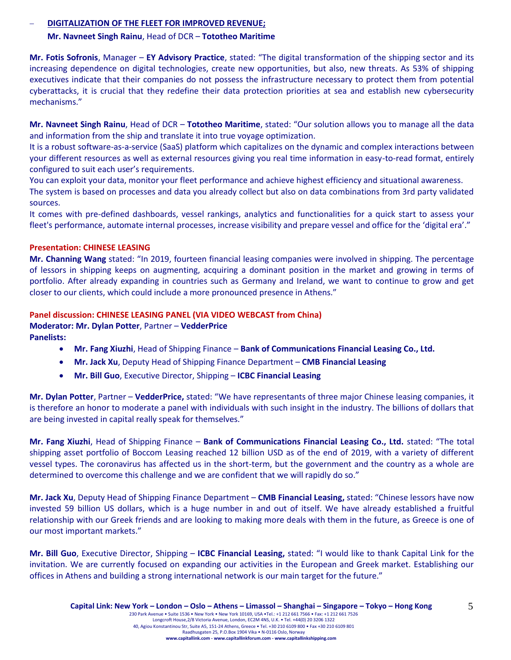# **DIGITALIZATION OF THE FLEET FOR IMPROVED REVENUE;**

# **Mr. Navneet Singh Rainu**, Head of DCR – **Tototheo Maritime**

**Mr. Fotis Sofronis**, Manager – **EY Advisory Practice**, stated: "The digital transformation of the shipping sector and its increasing dependence on digital technologies, create new opportunities, but also, new threats. As 53% of shipping executives indicate that their companies do not possess the infrastructure necessary to protect them from potential cyberattacks, it is crucial that they redefine their data protection priorities at sea and establish new cybersecurity mechanisms."

**Mr. Navneet Singh Rainu**, Head of DCR – **Tototheo Maritime**, stated: "Our solution allows you to manage all the data and information from the ship and translate it into true voyage optimization.

It is a robust software-as-a-service (SaaS) platform which capitalizes on the dynamic and complex interactions between your different resources as well as external resources giving you real time information in easy-to-read format, entirely configured to suit each user's requirements.

You can exploit your data, monitor your fleet performance and achieve highest efficiency and situational awareness. The system is based on processes and data you already collect but also on data combinations from 3rd party validated sources.

It comes with pre-defined dashboards, vessel rankings, analytics and functionalities for a quick start to assess your fleet's performance, automate internal processes, increase visibility and prepare vessel and office for the 'digital era'."

# **Presentation: CHINESE LEASING**

**Mr. Channing Wang** stated: "In 2019, fourteen financial leasing companies were involved in shipping. The percentage of lessors in shipping keeps on augmenting, acquiring a dominant position in the market and growing in terms of portfolio. After already expanding in countries such as Germany and Ireland, we want to continue to grow and get closer to our clients, which could include a more pronounced presence in Athens."

# **Panel discussion: CHINESE LEASING PANEL (VIA VIDEO WEBCAST from China)**

**Moderator: Mr. Dylan Potter**, Partner – **VedderPrice Panelists:**

- **Mr. Fang Xiuzhi**, Head of Shipping Finance **Bank of Communications Financial Leasing Co., Ltd.**
- **Mr. Jack Xu**, Deputy Head of Shipping Finance Department **CMB Financial Leasing**
- **Mr. Bill Guo**, Executive Director, Shipping **ICBC Financial Leasing**

**Mr. Dylan Potter**, Partner – **VedderPrice,** stated: "We have representants of three major Chinese leasing companies, it is therefore an honor to moderate a panel with individuals with such insight in the industry. The billions of dollars that are being invested in capital really speak for themselves."

**Mr. Fang Xiuzhi**, Head of Shipping Finance – **Bank of Communications Financial Leasing Co., Ltd.** stated: "The total shipping asset portfolio of Boccom Leasing reached 12 billion USD as of the end of 2019, with a variety of different vessel types. The coronavirus has affected us in the short-term, but the government and the country as a whole are determined to overcome this challenge and we are confident that we will rapidly do so."

**Mr. Jack Xu**, Deputy Head of Shipping Finance Department – **CMB Financial Leasing,** stated: "Chinese lessors have now invested 59 billion US dollars, which is a huge number in and out of itself. We have already established a fruitful relationship with our Greek friends and are looking to making more deals with them in the future, as Greece is one of our most important markets."

**Mr. Bill Guo**, Executive Director, Shipping – **ICBC Financial Leasing,** stated: "I would like to thank Capital Link for the invitation. We are currently focused on expanding our activities in the European and Greek market. Establishing our offices in Athens and building a strong international network is our main target for the future."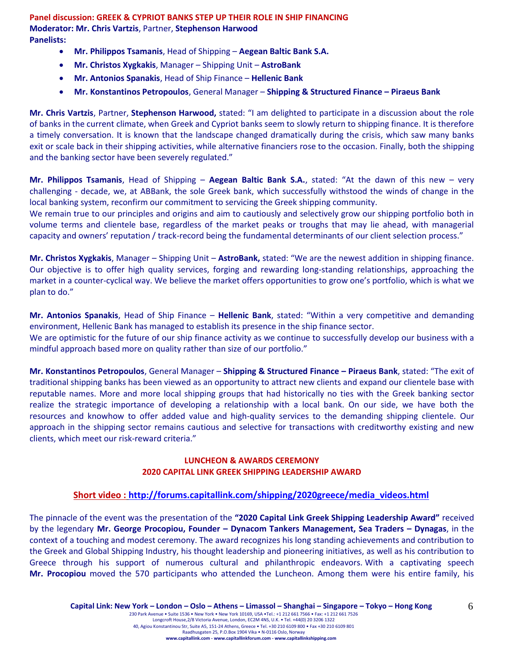**Panel discussion: GREEK & CYPRIOT BANKS STEP UP THEIR ROLE IN SHIP FINANCING Moderator: Mr. Chris Vartzis**, Partner, **Stephenson Harwood Panelists:**

- **Mr. Philippos Tsamanis**, Head of Shipping **Aegean Baltic Bank S.A.**
- **Mr. Christos Xygkakis**, Manager Shipping Unit **AstroBank**
- **Mr. Antonios Spanakis**, Head of Ship Finance **Hellenic Bank**
- **Mr. Konstantinos Petropoulos**, General Manager **Shipping & Structured Finance – Piraeus Bank**

**Mr. Chris Vartzis**, Partner, **Stephenson Harwood,** stated: "I am delighted to participate in a discussion about the role of banks in the current climate, when Greek and Cypriot banks seem to slowly return to shipping finance. It is therefore a timely conversation. It is known that the landscape changed dramatically during the crisis, which saw many banks exit or scale back in their shipping activities, while alternative financiers rose to the occasion. Finally, both the shipping and the banking sector have been severely regulated."

**Mr. Philippos Tsamanis**, Head of Shipping – **Aegean Baltic Bank S.A.**, stated: "At the dawn of this new – very challenging - decade, we, at ABBank, the sole Greek bank, which successfully withstood the winds of change in the local banking system, reconfirm our commitment to servicing the Greek shipping community.

We remain true to our principles and origins and aim to cautiously and selectively grow our shipping portfolio both in volume terms and clientele base, regardless of the market peaks or troughs that may lie ahead, with managerial capacity and owners' reputation / track-record being the fundamental determinants of our client selection process."

**Mr. Christos Xygkakis**, Manager – Shipping Unit – **AstroBank,** stated: "We are the newest addition in shipping finance. Our objective is to offer high quality services, forging and rewarding long-standing relationships, approaching the market in a counter-cyclical way. We believe the market offers opportunities to grow one's portfolio, which is what we plan to do."

**Mr. Antonios Spanakis**, Head of Ship Finance – **Hellenic Bank**, stated: "Within a very competitive and demanding environment, Hellenic Bank has managed to establish its presence in the ship finance sector.

We are optimistic for the future of our ship finance activity as we continue to successfully develop our business with a mindful approach based more on quality rather than size of our portfolio."

**Mr. Konstantinos Petropoulos**, General Manager – **Shipping & Structured Finance – Piraeus Bank**, stated: "The exit of traditional shipping banks has been viewed as an opportunity to attract new clients and expand our clientele base with reputable names. More and more local shipping groups that had historically no ties with the Greek banking sector realize the strategic importance of developing a relationship with a local bank. On our side, we have both the resources and knowhow to offer added value and high-quality services to the demanding shipping clientele. Our approach in the shipping sector remains cautious and selective for transactions with creditworthy existing and new clients, which meet our risk-reward criteria."

# **LUNCHEON & AWARDS CEREMONY 2020 CAPITAL LINK GREEK SHIPPING LEADERSHIP AWARD**

# **Short video : [http://forums.capitallink.com/shipping/2020greece/media\\_videos.html](http://forums.capitallink.com/shipping/2020greece/media_videos.html)**

The pinnacle of the event was the presentation of the **"2020 Capital Link Greek Shipping Leadership Award"** received by the legendary **Mr. George Procopiou, Founder – Dynacom Tankers Management, Sea Traders – Dynagas**, in the context of a touching and modest ceremony. The award recognizes his long standing achievements and contribution to the Greek and Global Shipping Industry, his thought leadership and pioneering initiatives, as well as his contribution to Greece through his support of numerous cultural and philanthropic endeavors. With a captivating speech **Mr. Procopiou** moved the 570 participants who attended the Luncheon. Among them were his entire family, his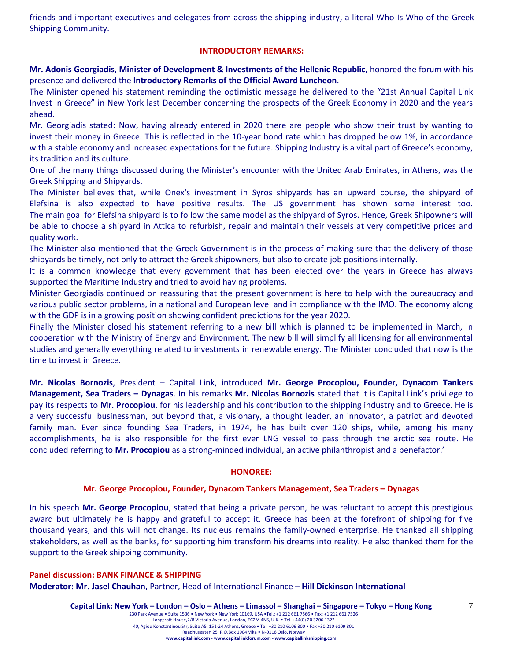friends and important executives and delegates from across the shipping industry, a literal Who-Is-Who of the Greek Shipping Community.

# **INTRODUCTORY REMARKS:**

**Mr. Adonis Georgiadis**, **Minister of Development & Investments of the Hellenic Republic,** honored the forum with his presence and delivered the **Introductory Remarks of the Official Award Luncheon**.

The Minister opened his statement reminding the optimistic message he delivered to the "21st Annual Capital Link Invest in Greece" in New York last December concerning the prospects of the Greek Economy in 2020 and the years ahead.

Mr. Georgiadis stated: Now, having already entered in 2020 there are people who show their trust by wanting to invest their money in Greece. This is reflected in the 10-year bond rate which has dropped below 1%, in accordance with a stable economy and increased expectations for the future. Shipping Industry is a vital part of Greece's economy, its tradition and its culture.

One of the many things discussed during the Minister's encounter with the United Arab Emirates, in Athens, was the Greek Shipping and Shipyards.

The Minister believes that, while Onex's investment in Syros shipyards has an upward course, the shipyard of Elefsina is also expected to have positive results. The US government has shown some interest too. The main goal for Elefsina shipyard is to follow the same model as the shipyard of Syros. Hence, Greek Shipowners will be able to choose a shipyard in Attica to refurbish, repair and maintain their vessels at very competitive prices and quality work.

The Minister also mentioned that the Greek Government is in the process of making sure that the delivery of those shipyards be timely, not only to attract the Greek shipowners, but also to create job positions internally.

It is a common knowledge that every government that has been elected over the years in Greece has always supported the Maritime Industry and tried to avoid having problems.

Minister Georgiadis continued on reassuring that the present government is here to help with the bureaucracy and various public sector problems, in a national and European level and in compliance with the IMO. The economy along with the GDP is in a growing position showing confident predictions for the year 2020.

Finally the Minister closed his statement referring to a new bill which is planned to be implemented in March, in cooperation with the Ministry of Energy and Environment. The new bill will simplify all licensing for all environmental studies and generally everything related to investments in renewable energy. The Minister concluded that now is the time to invest in Greece.

**Mr. Nicolas Bornozis**, President – Capital Link, introduced **Mr. George Procopiou, Founder, Dynacom Tankers Management, Sea Traders – Dynagas**. In his remarks **Mr. Nicolas Bornozis** stated that it is Capital Link's privilege to pay its respects to **Mr. Procopiou**, for his leadership and his contribution to the shipping industry and to Greece. He is a very successful businessman, but beyond that, a visionary, a thought leader, an innovator, a patriot and devoted family man. Ever since founding Sea Traders, in 1974, he has built over 120 ships, while, among his many accomplishments, he is also responsible for the first ever LNG vessel to pass through the arctic sea route. He concluded referring to **Mr. Procopiou** as a strong-minded individual, an active philanthropist and a benefactor.'

#### **HONOREE:**

#### **Mr. George Procopiou, Founder, Dynacom Tankers Management, Sea Traders – Dynagas**

In his speech **Mr. George Procopiou**, stated that being a private person, he was reluctant to accept this prestigious award but ultimately he is happy and grateful to accept it. Greece has been at the forefront of shipping for five thousand years, and this will not change. Its nucleus remains the family-owned enterprise. He thanked all shipping stakeholders, as well as the banks, for supporting him transform his dreams into reality. He also thanked them for the support to the Greek shipping community.

#### **Panel discussion: BANK FINANCE & SHIPPING**

**Moderator: Mr. Jasel Chauhan**, Partner, Head of International Finance – **Hill Dickinson International** 

**www.capitallink.com - www.capitallinkforum.com - www.capitallinkshipping.com**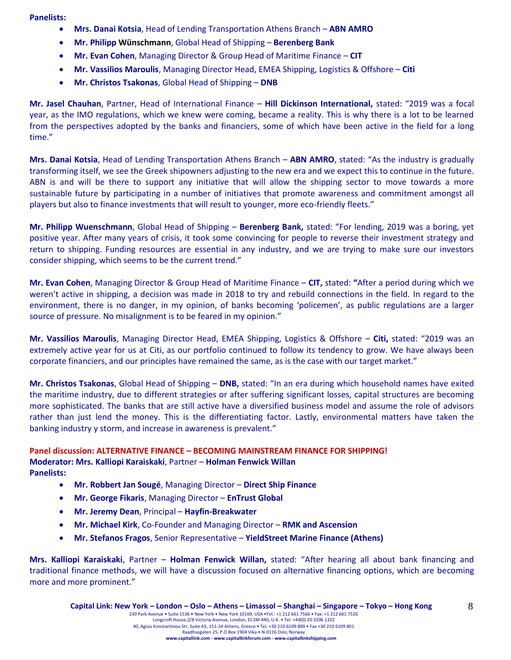**Panelists:**

- **Mrs. Danai Kotsia**, Head of Lending Transportation Athens Branch **ABN AMRO**
- **Mr. Philipp Wünschmann**, Global Head of Shipping **Berenberg Bank**
- **Mr. Evan Cohen**, Managing Director & Group Head of Maritime Finance **CIT**
- **Mr. Vassilios Maroulis**, Managing Director Head, EMEA Shipping, Logistics & Offshore **Citi**
- **Mr. Christos Tsakonas**, Global Head of Shipping **DNB**

**Mr. Jasel Chauhan**, Partner, Head of International Finance – **Hill Dickinson International,** stated: "2019 was a focal year, as the IMO regulations, which we knew were coming, became a reality. This is why there is a lot to be learned from the perspectives adopted by the banks and financiers, some of which have been active in the field for a long time."

**Mrs. Danai Kotsia**, Head of Lending Transportation Athens Branch – **ABN AMRO**, stated: "As the industry is gradually transforming itself, we see the Greek shipowners adjusting to the new era and we expect this to continue in the future. ABN is and will be there to support any initiative that will allow the shipping sector to move towards a more sustainable future by participating in a number of initiatives that promote awareness and commitment amongst all players but also to finance investments that will result to younger, more eco-friendly fleets."

**Mr. Philipp Wuenschmann**, Global Head of Shipping – **Berenberg Bank,** stated: "For lending, 2019 was a boring, yet positive year. After many years of crisis, it took some convincing for people to reverse their investment strategy and return to shipping. Funding resources are essential in any industry, and we are trying to make sure our investors consider shipping, which seems to be the current trend."

**Mr. Evan Cohen**, Managing Director & Group Head of Maritime Finance – **CIT,** stated: **"**After a period during which we weren't active in shipping, a decision was made in 2018 to try and rebuild connections in the field. In regard to the environment, there is no danger, in my opinion, of banks becoming 'policemen', as public regulations are a larger source of pressure. No misalignment is to be feared in my opinion."

**Mr. Vassilios Maroulis**, Managing Director Head, EMEA Shipping, Logistics & Offshore – **Citi,** stated: "2019 was an extremely active year for us at Citi, as our portfolio continued to follow its tendency to grow. We have always been corporate financiers, and our principles have remained the same, as is the case with our target market."

**Mr. Christos Tsakonas**, Global Head of Shipping – **DNB,** stated: "In an era during which household names have exited the maritime industry, due to different strategies or after suffering significant losses, capital structures are becoming more sophisticated. The banks that are still active have a diversified business model and assume the role of advisors rather than just lend the money. This is the differentiating factor. Lastly, environmental matters have taken the banking industry y storm, and increase in awareness is prevalent."

# **Panel discussion: ALTERNATIVE FINANCE – BECOMING MAINSTREAM FINANCE FOR SHIPPING! Moderator: Mrs. Kalliopi Karaiskaki**, Partner – **Holman Fenwick Willan Panelists:**

- **Mr. Robbert Jan Sougé**, Managing Director **Direct Ship Finance**
- **Mr. George Fikaris**, Managing Director **EnTrust Global**
- **Mr. Jeremy Dean**, Principal **Hayfin-Breakwater**
- **Mr. Michael Kirk**, Co-Founder and Managing Director **RMK and Ascension**
- **Mr. Stefanos Fragos**, Senior Representative **YieldStreet Marine Finance (Athens)**

**Mrs. Kalliopi Karaiskaki**, Partner – **Holman Fenwick Willan,** stated: "After hearing all about bank financing and traditional finance methods, we will have a discussion focused on alternative financing options, which are becoming more and more prominent."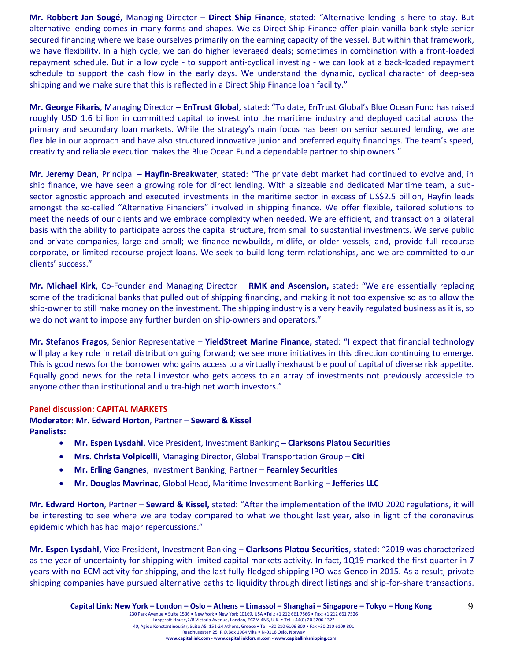**Mr. Robbert Jan Sougé**, Managing Director – **Direct Ship Finance**, stated: "Alternative lending is here to stay. But alternative lending comes in many forms and shapes. We as Direct Ship Finance offer plain vanilla bank-style senior secured financing where we base ourselves primarily on the earning capacity of the vessel. But within that framework, we have flexibility. In a high cycle, we can do higher leveraged deals; sometimes in combination with a front-loaded repayment schedule. But in a low cycle - to support anti-cyclical investing - we can look at a back-loaded repayment schedule to support the cash flow in the early days. We understand the dynamic, cyclical character of deep-sea shipping and we make sure that this is reflected in a Direct Ship Finance loan facility."

**Mr. George Fikaris**, Managing Director – **EnTrust Global**, stated: "To date, EnTrust Global's Blue Ocean Fund has raised roughly USD 1.6 billion in committed capital to invest into the maritime industry and deployed capital across the primary and secondary loan markets. While the strategy's main focus has been on senior secured lending, we are flexible in our approach and have also structured innovative junior and preferred equity financings. The team's speed, creativity and reliable execution makes the Blue Ocean Fund a dependable partner to ship owners."

**Mr. Jeremy Dean**, Principal – **Hayfin-Breakwater**, stated: "The private debt market had continued to evolve and, in ship finance, we have seen a growing role for direct lending. With a sizeable and dedicated Maritime team, a subsector agnostic approach and executed investments in the maritime sector in excess of US\$2.5 billion, Hayfin leads amongst the so-called "Alternative Financiers" involved in shipping finance. We offer flexible, tailored solutions to meet the needs of our clients and we embrace complexity when needed. We are efficient, and transact on a bilateral basis with the ability to participate across the capital structure, from small to substantial investments. We serve public and private companies, large and small; we finance newbuilds, midlife, or older vessels; and, provide full recourse corporate, or limited recourse project loans. We seek to build long-term relationships, and we are committed to our clients' success."

**Mr. Michael Kirk**, Co-Founder and Managing Director – **RMK and Ascension,** stated: "We are essentially replacing some of the traditional banks that pulled out of shipping financing, and making it not too expensive so as to allow the ship-owner to still make money on the investment. The shipping industry is a very heavily regulated business as it is, so we do not want to impose any further burden on ship-owners and operators."

**Mr. Stefanos Fragos**, Senior Representative – **YieldStreet Marine Finance,** stated: "I expect that financial technology will play a key role in retail distribution going forward; we see more initiatives in this direction continuing to emerge. This is good news for the borrower who gains access to a virtually inexhaustible pool of capital of diverse risk appetite. Equally good news for the retail investor who gets access to an array of investments not previously accessible to anyone other than institutional and ultra-high net worth investors."

# **Panel discussion: CAPITAL MARKETS**

**Moderator: Mr. Edward Horton**, Partner – **Seward & Kissel Panelists:**

- **Mr. Espen Lysdahl**, Vice President, Investment Banking **Clarksons Platou Securities**
- **Mrs. Christa Volpicelli**, Managing Director, Global Transportation Group **Citi**
- **Mr. Erling Gangnes**, Investment Banking, Partner **Fearnley Securities**
- **Mr. Douglas Mavrinac**, Global Head, Maritime Investment Banking **Jefferies LLC**

**Mr. Edward Horton**, Partner – **Seward & Kissel,** stated: "After the implementation of the IMO 2020 regulations, it will be interesting to see where we are today compared to what we thought last year, also in light of the coronavirus epidemic which has had major repercussions."

**Mr. Espen Lysdahl**, Vice President, Investment Banking – **Clarksons Platou Securities**, stated: "2019 was characterized as the year of uncertainty for shipping with limited capital markets activity. In fact, 1Q19 marked the first quarter in 7 years with no ECM activity for shipping, and the last fully-fledged shipping IPO was Genco in 2015. As a result, private shipping companies have pursued alternative paths to liquidity through direct listings and ship-for-share transactions.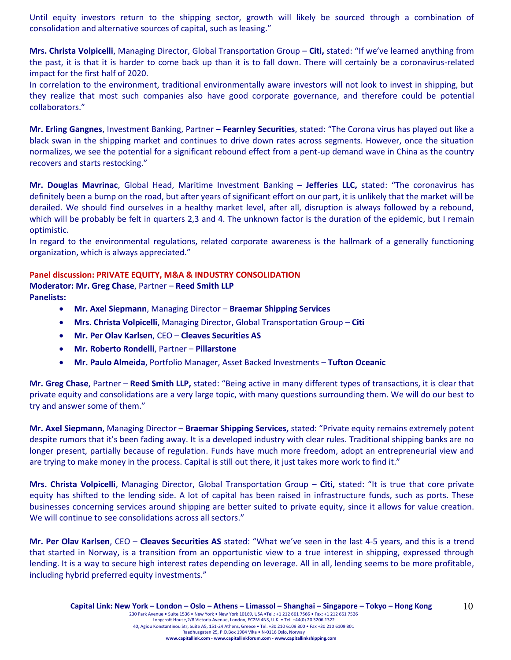Until equity investors return to the shipping sector, growth will likely be sourced through a combination of consolidation and alternative sources of capital, such as leasing."

**Mrs. Christa Volpicelli**, Managing Director, Global Transportation Group – **Citi,** stated: "If we've learned anything from the past, it is that it is harder to come back up than it is to fall down. There will certainly be a coronavirus-related impact for the first half of 2020.

In correlation to the environment, traditional environmentally aware investors will not look to invest in shipping, but they realize that most such companies also have good corporate governance, and therefore could be potential collaborators."

**Mr. Erling Gangnes**, Investment Banking, Partner – **Fearnley Securities**, stated: "The Corona virus has played out like a black swan in the shipping market and continues to drive down rates across segments. However, once the situation normalizes, we see the potential for a significant rebound effect from a pent-up demand wave in China as the country recovers and starts restocking."

**Mr. Douglas Mavrinac**, Global Head, Maritime Investment Banking – **Jefferies LLC,** stated: "The coronavirus has definitely been a bump on the road, but after years of significant effort on our part, it is unlikely that the market will be derailed. We should find ourselves in a healthy market level, after all, disruption is always followed by a rebound, which will be probably be felt in quarters 2,3 and 4. The unknown factor is the duration of the epidemic, but I remain optimistic.

In regard to the environmental regulations, related corporate awareness is the hallmark of a generally functioning organization, which is always appreciated."

# **Panel discussion: PRIVATE EQUITY, M&A & INDUSTRY CONSOLIDATION**

**Moderator: Mr. Greg Chase**, Partner – **Reed Smith LLP Panelists:**

- **Mr. Axel Siepmann**, Managing Director **Braemar Shipping Services**
- **Mrs. Christa Volpicelli**, Managing Director, Global Transportation Group **Citi**
- **Mr. Per Olav Karlsen**, CEO **Cleaves Securities AS**
- **Mr. Roberto Rondelli**, Partner **Pillarstone**
- **Mr. Paulo Almeida**, Portfolio Manager, Asset Backed Investments **Tufton Oceanic**

**Mr. Greg Chase**, Partner – **Reed Smith LLP,** stated: "Being active in many different types of transactions, it is clear that private equity and consolidations are a very large topic, with many questions surrounding them. We will do our best to try and answer some of them."

**Mr. Axel Siepmann**, Managing Director – **Braemar Shipping Services,** stated: "Private equity remains extremely potent despite rumors that it's been fading away. It is a developed industry with clear rules. Traditional shipping banks are no longer present, partially because of regulation. Funds have much more freedom, adopt an entrepreneurial view and are trying to make money in the process. Capital is still out there, it just takes more work to find it."

**Mrs. Christa Volpicelli**, Managing Director, Global Transportation Group – **Citi,** stated: "It is true that core private equity has shifted to the lending side. A lot of capital has been raised in infrastructure funds, such as ports. These businesses concerning services around shipping are better suited to private equity, since it allows for value creation. We will continue to see consolidations across all sectors."

**Mr. Per Olav Karlsen**, CEO – **Cleaves Securities AS** stated: "What we've seen in the last 4-5 years, and this is a trend that started in Norway, is a transition from an opportunistic view to a true interest in shipping, expressed through lending. It is a way to secure high interest rates depending on leverage. All in all, lending seems to be more profitable, including hybrid preferred equity investments."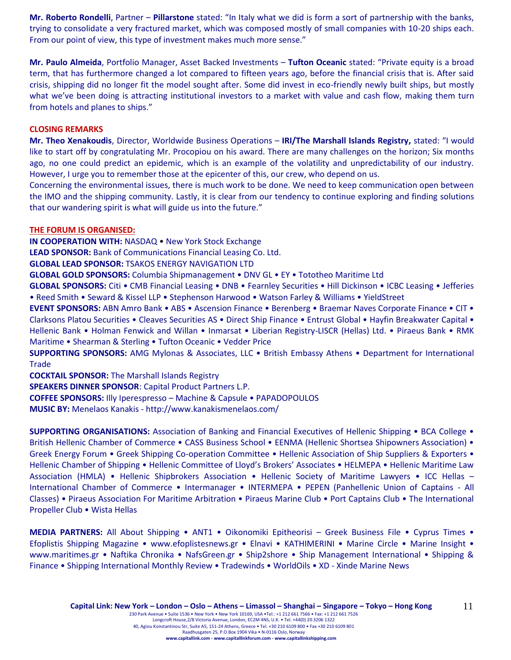**Mr. Roberto Rondelli**, Partner – **Pillarstone** stated: "In Italy what we did is form a sort of partnership with the banks, trying to consolidate a very fractured market, which was composed mostly of small companies with 10-20 ships each. From our point of view, this type of investment makes much more sense."

**Mr. Paulo Almeida**, Portfolio Manager, Asset Backed Investments – **Tufton Oceanic** stated: "Private equity is a broad term, that has furthermore changed a lot compared to fifteen years ago, before the financial crisis that is. After said crisis, shipping did no longer fit the model sought after. Some did invest in eco-friendly newly built ships, but mostly what we've been doing is attracting institutional investors to a market with value and cash flow, making them turn from hotels and planes to ships."

#### **CLOSING REMARKS**

**Mr. Theo Xenakoudis**, Director, Worldwide Business Operations – **IRI/The Marshall Islands Registry,** stated: "Ι would like to start off by congratulating Mr. Procopiou on his award. There are many challenges on the horizon; Six months ago, no one could predict an epidemic, which is an example of the volatility and unpredictability of our industry. However, I urge you to remember those at the epicenter of this, our crew, who depend on us.

Concerning the environmental issues, there is much work to be done. We need to keep communication open between the IMO and the shipping community. Lastly, it is clear from our tendency to continue exploring and finding solutions that our wandering spirit is what will guide us into the future."

#### **THE FORUM IS ORGANISED:**

**IN COOPERATION WITH:** NASDAQ • New York Stock Exchange

**LEAD SPONSOR:** Bank of Communications Financial Leasing Co. Ltd.

**GLOBAL LEAD SPONSOR:** TSAKOS ENERGY NAVIGATION LTD

**GLOBAL GOLD SPONSORS:** Columbia Shipmanagement • DNV GL • EY • Tototheo Maritime Ltd

**GLOBAL SPONSORS:** Citi • CMB Financial Leasing • DΝB • Fearnley Securities • Hill Dickinson • ICBC Leasing • Jefferies • Reed Smith • Seward & Kissel LLP • Stephenson Harwood • Watson Farley & Williams • YieldStreet

**EVENT SPONSORS:** ABN Amro Bank • ABS • Ascension Finance • Berenberg • Braemar Naves Corporate Finance • CIT • Clarksons Platou Securities • Cleaves Securities AS • Direct Ship Finance • Entrust Global • Hayfin Breakwater Capital • Hellenic Bank • Holman Fenwick and Willan • Inmarsat • Liberian Registry-LISCR (Hellas) Ltd. • Piraeus Bank • RMK Maritime • Shearman & Sterling • Tufton Oceanic • Vedder Price

**SUPPORTING SPONSORS:** AMG Mylonas & Associates, LLC • British Embassy Athens • Department for International Trade

**COCKTAIL SPONSOR:** The Marshall Islands Registry

**SPEAKERS DINNER SPONSOR**: Capital Product Partners L.P.

**COFFEE SPONSORS:** Illy Iperespresso – Machine & Capsule • PAPADOPOULOS

**MUSIC BY:** Menelaos Kanakis - <http://www.kanakismenelaos.com/>

**SUPPORTING ORGANISATIONS:** Association of Banking and Financial Executives of Hellenic Shipping • BCA College • British Hellenic Chamber of Commerce • CASS Business School • EENMA (Hellenic Shortsea Shipowners Association) • Greek Energy Forum • Greek Shipping Co-operation Committee • Hellenic Association of Ship Suppliers & Exporters • Hellenic Chamber of Shipping • Hellenic Committee of Lloyd's Brokers' Associates • HELMEPA • Hellenic Maritime Law Association (HMLA) • Hellenic Shipbrokers Association • Hellenic Society of Maritime Lawyers • ICC Hellas – International Chamber of Commerce • Intermanager • INTERMEPA • PEPEN (Panhellenic Union of Captains - All Classes) • Piraeus Association For Maritime Arbitration • Piraeus Marine Club • Port Captains Club • The International Propeller Club • Wista Hellas

**MEDIA PARTNERS:** All About Shipping • ANT1 • Oikonomiki Epitheorisi – Greek Business File • Cyprus Times • Efoplistis Shipping Magazine • [www.efoplistesnews.gr](http://www.efoplistesnews.gr/) • Elnavi • KATHIMERINI • Marine Circle • Marine Insight • [www.maritimes.gr](http://www.maritimes.gr/) • Naftika Chronika • NafsGreen.gr • Ship2shore • Ship Management International • Shipping & Finance • Shipping International Monthly Review • Tradewinds • WorldOils • XD - Xinde Marine News